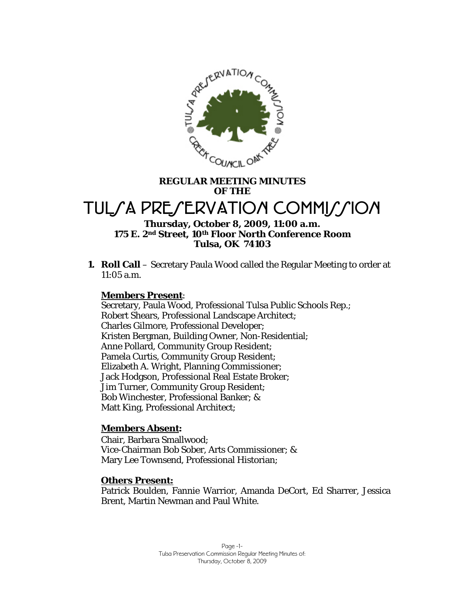

## **REGULAR MEETING MINUTES OF THE**

# TUL*S* A PRESERVATION COMMISSION

## **Thursday, October 8, 2009, 11:00 a.m. 175 E. 2nd Street, 10th Floor North Conference Room Tulsa, OK 74103**

**1. Roll Call** – Secretary Paula Wood called the Regular Meeting to order at 11:05 a.m.

## **Members Present**:

Secretary, Paula Wood, Professional Tulsa Public Schools Rep.; Robert Shears, Professional Landscape Architect; Charles Gilmore, Professional Developer; Kristen Bergman, Building Owner, Non-Residential; Anne Pollard, Community Group Resident; Pamela Curtis, Community Group Resident; Elizabeth A. Wright, Planning Commissioner; Jack Hodgson, Professional Real Estate Broker; Jim Turner, Community Group Resident; Bob Winchester, Professional Banker; & Matt King, Professional Architect;

## **Members Absent:**

Chair, Barbara Smallwood; Vice-Chairman Bob Sober, Arts Commissioner; & Mary Lee Townsend, Professional Historian;

## **Others Present:**

Patrick Boulden, Fannie Warrior, Amanda DeCort, Ed Sharrer, Jessica Brent, Martin Newman and Paul White.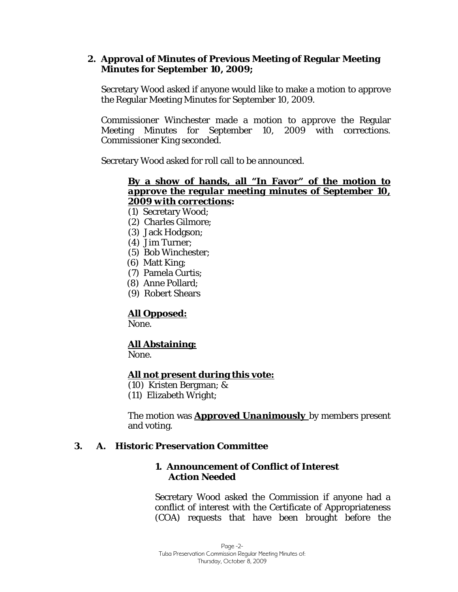## **2. Approval of Minutes of Previous Meeting of Regular Meeting Minutes for September 10, 2009;**

Secretary Wood asked if anyone would like to make a motion to approve the Regular Meeting Minutes for September 10, 2009.

Commissioner Winchester made a motion to *approve* the Regular Meeting Minutes for September 10, 2009 with corrections. Commissioner King seconded.

Secretary Wood asked for roll call to be announced.

## **By a show of hands, all "In Favor" of the motion to**  *approve the regular meeting minutes of September 10, 2009 with corrections***:**

- (1) Secretary Wood;
- (2) Charles Gilmore;
- (3) Jack Hodgson;
- (4) Jim Turner;
- (5) Bob Winchester;
- (6) Matt King;
- (7) Pamela Curtis;
- (8) Anne Pollard;
- (9) Robert Shears

## **All Opposed:**

None.

## **All Abstaining:**

None.

#### **All not present during this vote:**

- (10) Kristen Bergman; &
- (11) Elizabeth Wright;

The motion was *Approved Unanimously* by members present and voting.

## **3. A. Historic Preservation Committee**

## **1. Announcement of Conflict of Interest** *Action Needed*

Secretary Wood asked the Commission if anyone had a conflict of interest with the Certificate of Appropriateness (COA) requests that have been brought before the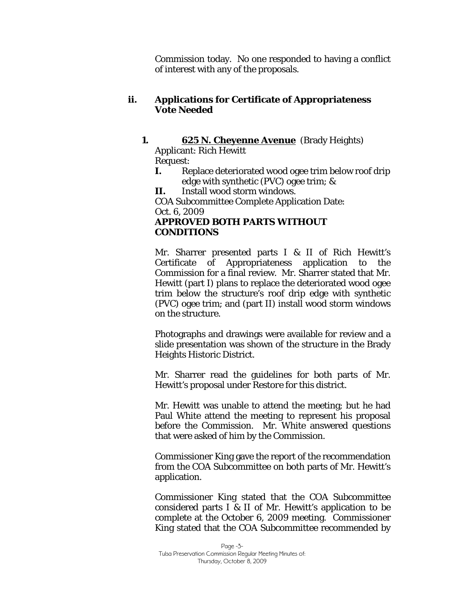Commission today. No one responded to having a conflict of interest with any of the proposals.

## **ii. Applications for Certificate of Appropriateness**  *Vote Needed*

# **1. 625 N. Cheyenne Avenue** (Brady Heights) Applicant: Rich Hewitt

Request:

**I.** Replace deteriorated wood ogee trim below roof drip edge with synthetic (PVC) ogee trim; &

**II.** Install wood storm windows.

COA Subcommittee Complete Application Date: Oct. 6, 2009

## *APPROVED BOTH PARTS WITHOUT CONDITIONS*

Mr. Sharrer presented parts I & II of Rich Hewitt's Certificate of Appropriateness application to the Commission for a final review. Mr. Sharrer stated that Mr. Hewitt (part I) plans to replace the deteriorated wood ogee trim below the structure's roof drip edge with synthetic (PVC) ogee trim; and (part II) install wood storm windows on the structure.

Photographs and drawings were available for review and a slide presentation was shown of the structure in the Brady Heights Historic District.

Mr. Sharrer read the guidelines for both parts of Mr. Hewitt's proposal under *Restore* for this district.

Mr. Hewitt was unable to attend the meeting; but he had Paul White attend the meeting to represent his proposal before the Commission. Mr. White answered questions that were asked of him by the Commission.

Commissioner King gave the report of the recommendation from the COA Subcommittee on both parts of Mr. Hewitt's application.

Commissioner King stated that the COA Subcommittee considered parts I & II of Mr. Hewitt's application to be complete at the October 6, 2009 meeting. Commissioner King stated that the COA Subcommittee recommended by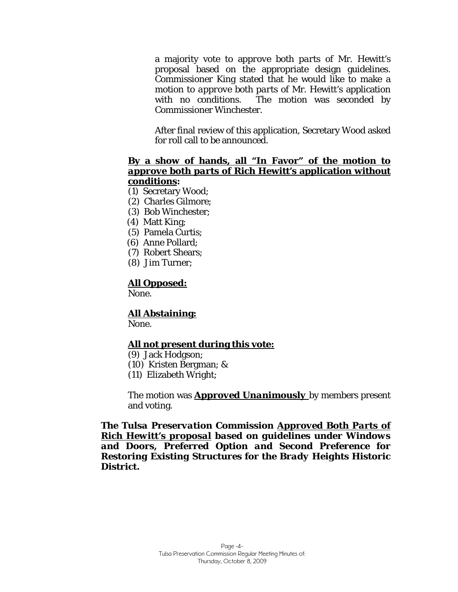a majority vote to a*pprove both parts* of Mr. Hewitt's proposal based on the appropriate design guidelines. Commissioner King stated that he would like to make a motion to *approve both parts* of Mr. Hewitt's application with no conditions. The motion was seconded by Commissioner Winchester.

After final review of this application, Secretary Wood asked for roll call to be announced.

## **By a show of hands, all "In Favor" of the motion to**  *approve both parts* **of Rich Hewitt's application without conditions:**

- (1) Secretary Wood;
- (2) Charles Gilmore;
- (3) Bob Winchester;
- (4) Matt King;
- (5) Pamela Curtis;
- (6) Anne Pollard;
- (7) Robert Shears;
- (8) Jim Turner;

## **All Opposed:**

None.

#### **All Abstaining:**

None.

## **All not present during this vote:**

- (9) Jack Hodgson;
- (10) Kristen Bergman; &
- (11) Elizabeth Wright;

The motion was *Approved Unanimously* by members present and voting.

*The Tulsa Preservation Commission Approved Both Parts of Rich Hewitt's proposal based on guidelines under Windows and Doors, Preferred Option and Second Preference for Restoring Existing Structures for the Brady Heights Historic District.*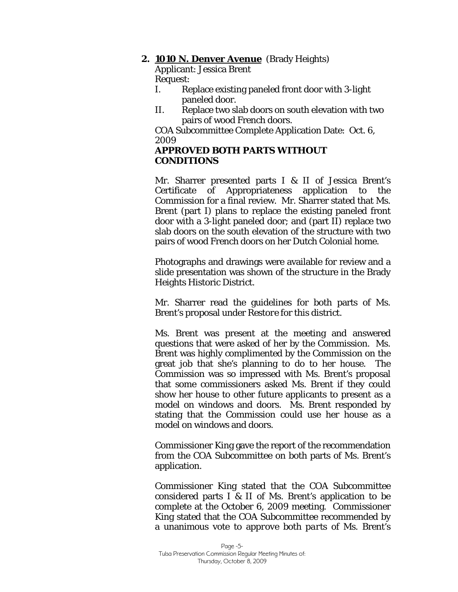## **2. 1010 N. Denver Avenue** (Brady Heights)

Applicant: Jessica Brent Request:

- I. Replace existing paneled front door with 3-light paneled door.
- II. Replace two slab doors on south elevation with two pairs of wood French doors.

COA Subcommittee Complete Application Date: Oct. 6, 2009

## *APPROVED BOTH PARTS WITHOUT CONDITIONS*

Mr. Sharrer presented parts I & II of Jessica Brent's Certificate of Appropriateness application to the Commission for a final review. Mr. Sharrer stated that Ms. Brent (part I) plans to replace the existing paneled front door with a 3-light paneled door; and (part II) replace two slab doors on the south elevation of the structure with two pairs of wood French doors on her Dutch Colonial home.

Photographs and drawings were available for review and a slide presentation was shown of the structure in the Brady Heights Historic District.

Mr. Sharrer read the guidelines for both parts of Ms. Brent's proposal under *Restore* for this district.

Ms. Brent was present at the meeting and answered questions that were asked of her by the Commission. Ms. Brent was highly complimented by the Commission on the great job that she's planning to do to her house. The Commission was so impressed with Ms. Brent's proposal that some commissioners asked Ms. Brent if they could show her house to other future applicants to present as a model on windows and doors. Ms. Brent responded by stating that the Commission could use her house as a model on windows and doors.

Commissioner King gave the report of the recommendation from the COA Subcommittee on both parts of Ms. Brent's application.

Commissioner King stated that the COA Subcommittee considered parts I & II of Ms. Brent's application to be complete at the October 6, 2009 meeting. Commissioner King stated that the COA Subcommittee recommended by a unanimous vote to a*pprove both parts* of Ms. Brent's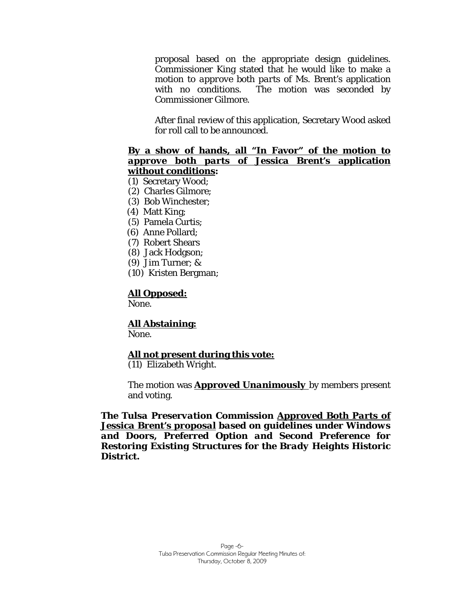proposal based on the appropriate design guidelines. Commissioner King stated that he would like to make a motion to *approve both parts* of Ms. Brent's application with no conditions. The motion was seconded by Commissioner Gilmore.

After final review of this application, Secretary Wood asked for roll call to be announced.

#### **By a show of hands, all "In Favor" of the motion to**  *approve both parts* **of Jessica Brent's application without conditions:**

#### (1) Secretary Wood;

- (2) Charles Gilmore;
- (3) Bob Winchester;
- (4) Matt King;
- (5) Pamela Curtis;
- (6) Anne Pollard;
- (7) Robert Shears
- (8) Jack Hodgson;
- (9) Jim Turner; &
- (10) Kristen Bergman;

#### **All Opposed:**

None.

#### **All Abstaining:**

None.

#### **All not present during this vote:**

(11) Elizabeth Wright.

The motion was *Approved Unanimously* by members present and voting.

*The Tulsa Preservation Commission Approved Both Parts of Jessica Brent's proposal based on guidelines under Windows and Doors, Preferred Option and Second Preference for Restoring Existing Structures for the Brady Heights Historic District.*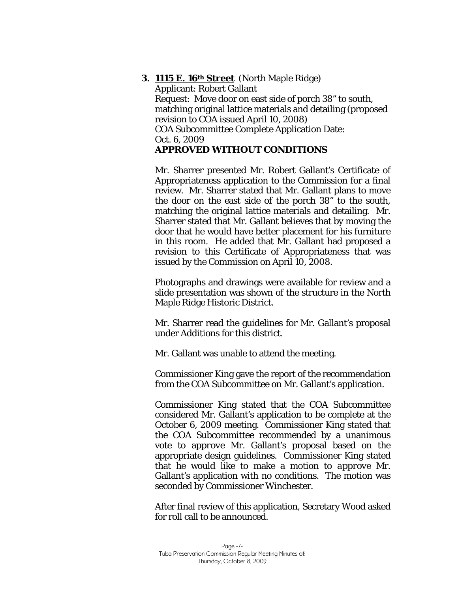## **3. 1115 E. 16th Street** (North Maple Ridge)

Applicant: Robert Gallant Request: Move door on east side of porch 38" to south, matching original lattice materials and detailing (proposed revision to COA issued April 10, 2008) COA Subcommittee Complete Application Date: Oct. 6, 2009 *APPROVED WITHOUT CONDITIONS* 

Mr. Sharrer presented Mr. Robert Gallant's Certificate of Appropriateness application to the Commission for a final review. Mr. Sharrer stated that Mr. Gallant plans to move the door on the east side of the porch 38" to the south, matching the original lattice materials and detailing. Mr. Sharrer stated that Mr. Gallant believes that by moving the door that he would have better placement for his furniture in this room. He added that Mr. Gallant had proposed a revision to this Certificate of Appropriateness that was issued by the Commission on April 10, 2008.

Photographs and drawings were available for review and a slide presentation was shown of the structure in the North Maple Ridge Historic District.

Mr. Sharrer read the guidelines for Mr. Gallant's proposal under *Additions* for this district.

Mr. Gallant was unable to attend the meeting.

Commissioner King gave the report of the recommendation from the COA Subcommittee on Mr. Gallant's application.

Commissioner King stated that the COA Subcommittee considered Mr. Gallant's application to be complete at the October 6, 2009 meeting. Commissioner King stated that the COA Subcommittee recommended by a unanimous vote to a*pprove* Mr. Gallant's proposal based on the appropriate design guidelines. Commissioner King stated that he would like to make a motion to *approve* Mr. Gallant's application with no conditions. The motion was seconded by Commissioner Winchester.

After final review of this application, Secretary Wood asked for roll call to be announced.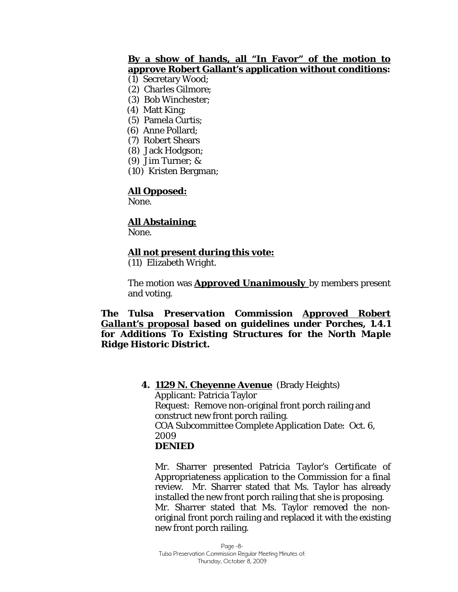## **By a show of hands, all "In Favor" of the motion to approve Robert Gallant's application without conditions:**

- (1) Secretary Wood;
- (2) Charles Gilmore;
- (3) Bob Winchester;
- (4) Matt King;
- (5) Pamela Curtis;
- (6) Anne Pollard;
- (7) Robert Shears
- (8) Jack Hodgson;
- (9) Jim Turner; &
- (10) Kristen Bergman;

## **All Opposed:**

None.

## **All Abstaining:**

None.

## **All not present during this vote:**

(11) Elizabeth Wright.

The motion was *Approved Unanimously* by members present and voting.

## *The Tulsa Preservation Commission Approved Robert Gallant's proposal based on guidelines under Porches, 1.4.1 for Additions To Existing Structures for the North Maple Ridge Historic District.*

## **4. 1129 N. Cheyenne Avenue** (Brady Heights) Applicant: Patricia Taylor Request: Remove non-original front porch railing and construct new front porch railing. COA Subcommittee Complete Application Date: Oct. 6, 2009 *DENIED*

Mr. Sharrer presented Patricia Taylor's Certificate of Appropriateness application to the Commission for a final review. Mr. Sharrer stated that Ms. Taylor has already installed the new front porch railing that she is proposing. Mr. Sharrer stated that Ms. Taylor removed the nonoriginal front porch railing and replaced it with the existing new front porch railing.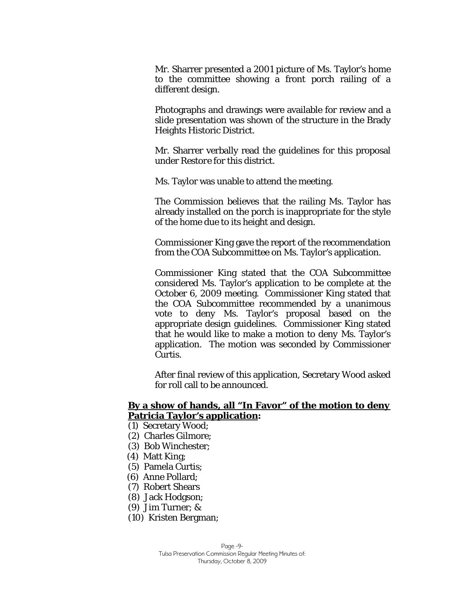Mr. Sharrer presented a 2001 picture of Ms. Taylor's home to the committee showing a front porch railing of a different design.

Photographs and drawings were available for review and a slide presentation was shown of the structure in the Brady Heights Historic District.

Mr. Sharrer verbally read the guidelines for this proposal under *Restore* for this district.

Ms. Taylor was unable to attend the meeting.

The Commission believes that the railing Ms. Taylor has already installed on the porch is inappropriate for the style of the home due to its height and design.

Commissioner King gave the report of the recommendation from the COA Subcommittee on Ms. Taylor's application.

Commissioner King stated that the COA Subcommittee considered Ms. Taylor's application to be complete at the October 6, 2009 meeting. Commissioner King stated that the COA Subcommittee recommended by a unanimous vote to *deny* Ms. Taylor's proposal based on the appropriate design guidelines. Commissioner King stated that he would like to make a motion to *deny* Ms. Taylor's application. The motion was seconded by Commissioner Curtis.

After final review of this application, Secretary Wood asked for roll call to be announced.

## **By a show of hands, all "In Favor" of the motion to** *deny* **Patricia Taylor's application:**

- (1) Secretary Wood;
- (2) Charles Gilmore;
- (3) Bob Winchester;
- (4) Matt King;
- (5) Pamela Curtis;
- (6) Anne Pollard;
- (7) Robert Shears
- (8) Jack Hodgson;
- (9) Jim Turner; &
- (10) Kristen Bergman;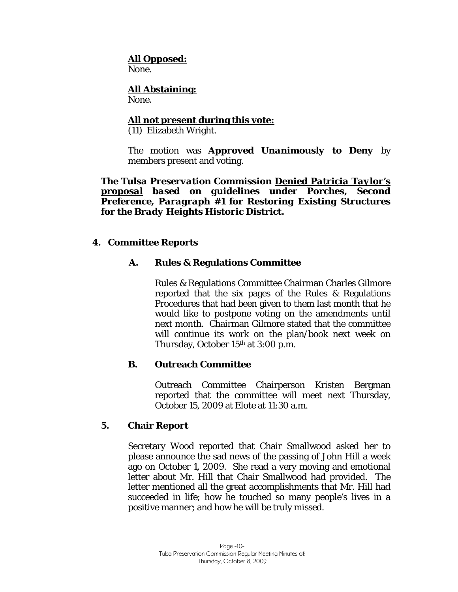## **All Opposed:**

None.

#### **All Abstaining:** None.

## **All not present during this vote:**

(11) Elizabeth Wright.

The motion was *Approved Unanimously to Deny* by members present and voting.

*The Tulsa Preservation Commission Denied Patricia Taylor's proposal based on guidelines under Porches, Second Preference, Paragraph #1 for Restoring Existing Structures for the Brady Heights Historic District.* 

## **4. Committee Reports**

## **A. Rules & Regulations Committee**

Rules & Regulations Committee Chairman Charles Gilmore reported that the six pages of the Rules & Regulations Procedures that had been given to them last month that he would like to postpone voting on the amendments until next month. Chairman Gilmore stated that the committee will continue its work on the plan/book next week on Thursday, October 15th at 3:00 p.m.

## **B. Outreach Committee**

Outreach Committee Chairperson Kristen Bergman reported that the committee will meet next Thursday, October 15, 2009 at Elote at 11:30 a.m.

## **5. Chair Report**

Secretary Wood reported that Chair Smallwood asked her to please announce the sad news of the passing of John Hill a week ago on October 1, 2009. She read a very moving and emotional letter about Mr. Hill that Chair Smallwood had provided. The letter mentioned all the great accomplishments that Mr. Hill had succeeded in life; how he touched so many people's lives in a positive manner; and how he will be truly missed.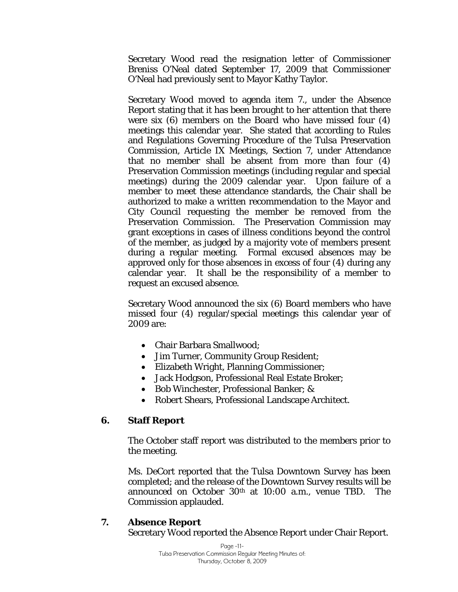Secretary Wood read the resignation letter of Commissioner Breniss O'Neal dated September 17, 2009 that Commissioner O'Neal had previously sent to Mayor Kathy Taylor.

Secretary Wood moved to agenda item 7., under the Absence Report stating that it has been brought to her attention that there were six (6) members on the Board who have missed four (4) meetings this calendar year. She stated that according to Rules and Regulations Governing Procedure of the Tulsa Preservation Commission, Article IX Meetings, Section 7, under Attendance that no member shall be absent from more than four (4) Preservation Commission meetings (including regular and special meetings) during the 2009 calendar year. Upon failure of a member to meet these attendance standards, the Chair shall be authorized to make a written recommendation to the Mayor and City Council requesting the member be removed from the Preservation Commission. The Preservation Commission may grant exceptions in cases of illness conditions beyond the control of the member, as judged by a majority vote of members present during a regular meeting. Formal excused absences may be approved only for those absences in excess of four (4) during any calendar year. It shall be the responsibility of a member to request an excused absence.

Secretary Wood announced the six (6) Board members who have missed four (4) regular/special meetings this calendar year of 2009 are:

- Chair Barbara Smallwood;
- Jim Turner, Community Group Resident;
- Elizabeth Wright, Planning Commissioner;
- Jack Hodgson, Professional Real Estate Broker;
- Bob Winchester, Professional Banker; &
- Robert Shears, Professional Landscape Architect.

## **6. Staff Report**

The October staff report was distributed to the members prior to the meeting.

Ms. DeCort reported that the Tulsa Downtown Survey has been completed; and the release of the Downtown Survey results will be announced on October  $30<sup>th</sup>$  at 10:00 a.m., venue TBD. The Commission applauded.

## **7. Absence Report**

Secretary Wood reported the Absence Report under Chair Report.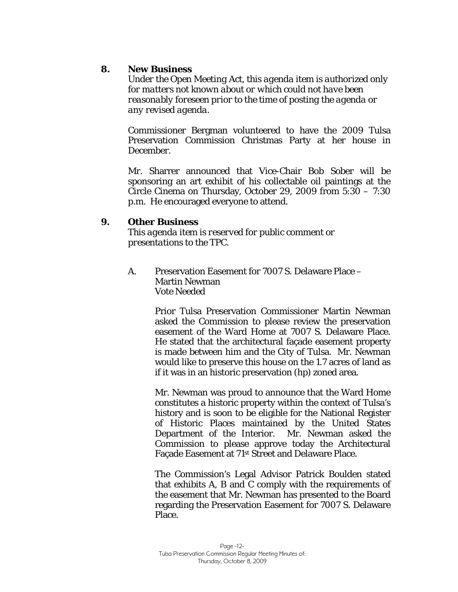## **8. New Business**

*Under the Open Meeting Act, this agenda item is authorized only for matters not known about or which could not have been reasonably foreseen prior to the time of posting the agenda or any revised agenda.* 

Commissioner Bergman volunteered to have the 2009 Tulsa Preservation Commission Christmas Party at her house in December.

Mr. Sharrer announced that Vice-Chair Bob Sober will be sponsoring an art exhibit of his collectable oil paintings at the Circle Cinema on Thursday, October 29, 2009 from 5:30 – 7:30 p.m. He encouraged everyone to attend.

## **9. Other Business**

*This agenda item is reserved for public comment or presentations to the TPC.* 

A. Preservation Easement for 7007 S. Delaware Place – Martin Newman *Vote Needed* 

> Prior Tulsa Preservation Commissioner Martin Newman asked the Commission to please review the preservation easement of the Ward Home at 7007 S. Delaware Place. He stated that the architectural façade easement property is made between him and the City of Tulsa. Mr. Newman would like to preserve this house on the 1.7 acres of land as if it was in an historic preservation (hp) zoned area.

> Mr. Newman was proud to announce that the Ward Home constitutes a historic property within the context of Tulsa's history and is soon to be eligible for the National Register of Historic Places maintained by the United States Department of the Interior. Mr. Newman asked the Commission to please approve today the Architectural Façade Easement at 71st Street and Delaware Place.

> The Commission's Legal Advisor Patrick Boulden stated that exhibits A, B and C comply with the requirements of the easement that Mr. Newman has presented to the Board regarding the Preservation Easement for 7007 S. Delaware Place.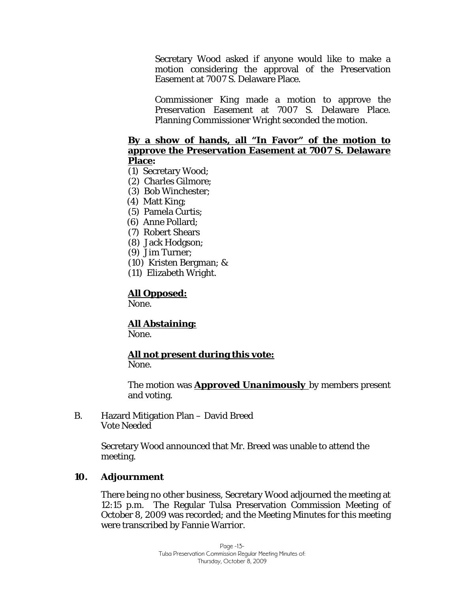Secretary Wood asked if anyone would like to make a motion considering the approval of the Preservation Easement at 7007 S. Delaware Place.

Commissioner King made a motion to approve the Preservation Easement at 7007 S. Delaware Place. Planning Commissioner Wright seconded the motion.

## **By a show of hands, all "In Favor" of the motion to approve the Preservation Easement at 7007 S. Delaware Place:**

- (1) Secretary Wood;
- (2) Charles Gilmore;
- (3) Bob Winchester;
- (4) Matt King;
- (5) Pamela Curtis;
- (6) Anne Pollard;
- (7) Robert Shears
- (8) Jack Hodgson;
- (9) Jim Turner;
- (10) Kristen Bergman; &
- (11) Elizabeth Wright.

## **All Opposed:**

None.

# **All Abstaining:**

None.

# **All not present during this vote:**

None.

The motion was *Approved Unanimously* by members present and voting.

B. Hazard Mitigation Plan – David Breed *Vote Needed* 

> Secretary Wood announced that Mr. Breed was unable to attend the meeting.

## **10. Adjournment**

There being no other business, Secretary Wood adjourned the meeting at 12:15 p.m. The Regular Tulsa Preservation Commission Meeting of October 8, 2009 was recorded; and the Meeting Minutes for this meeting were transcribed by Fannie Warrior.